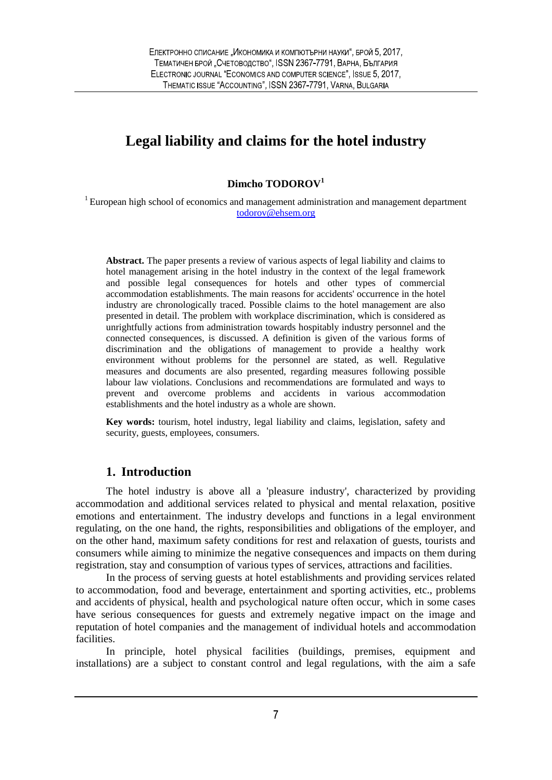# **Legal liability and claims for the hotel industry**

#### **Dimcho TODOROV<sup>1</sup>**

<sup>1</sup> European high school of economics and management administration and management department todorov@ehsem.org

**Abstract.** The paper presents a review of various aspects of legal liability and claims to hotel management arising in the hotel industry in the context of the legal framework and possible legal consequences for hotels and other types of commercial accommodation establishments. The main reasons for accidents' occurrence in the hotel industry are chronologically traced. Possible claims to the hotel management are also presented in detail. The problem with workplace discrimination, which is considered as unrightfully actions from administration towards hospitably industry personnel and the connected consequences, is discussed. A definition is given of the various forms of discrimination and the obligations of management to provide a healthy work environment without problems for the personnel are stated, as well. Regulative measures and documents are also presented, regarding measures following possible labour law violations. Conclusions and recommendations are formulated and ways to prevent and overcome problems and accidents in various accommodation establishments and the hotel industry as a whole are shown.

**Key words:** tourism, hotel industry, legal liability and claims, legislation, safety and security, guests, employees, consumers.

## **1. Introduction**

The hotel industry is above all a 'pleasure industry', characterized by providing accommodation and additional services related to physical and mental relaxation, positive emotions and entertainment. The industry develops and functions in a legal environment regulating, on the one hand, the rights, responsibilities and obligations of the employer, and on the other hand, maximum safety conditions for rest and relaxation of guests, tourists and consumers while aiming to minimize the negative consequences and impacts on them during registration, stay and consumption of various types of services, attractions and facilities.

In the process of serving guests at hotel establishments and providing services related to accommodation, food and beverage, entertainment and sporting activities, etc., problems and accidents of physical, health and psychological nature often occur, which in some cases have serious consequences for guests and extremely negative impact on the image and reputation of hotel companies and the management of individual hotels and accommodation facilities.

In principle, hotel physical facilities (buildings, premises, equipment and installations) are a subject to constant control and legal regulations, with the aim a safe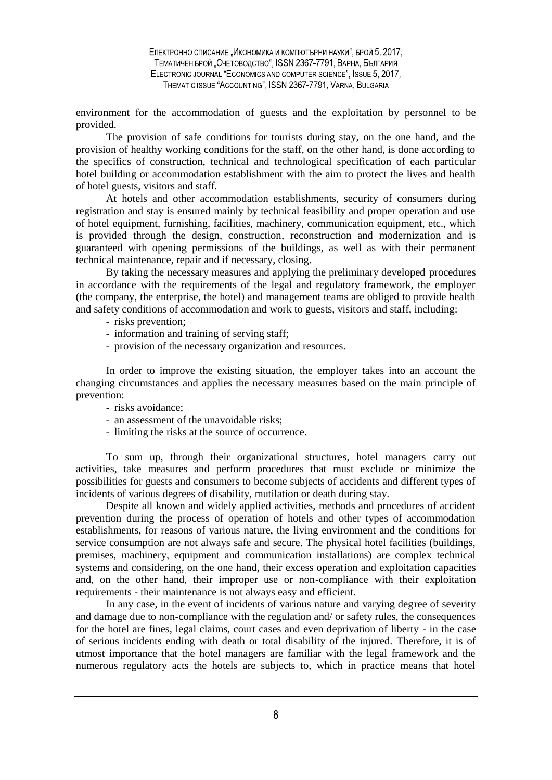environment for the accommodation of guests and the exploitation by personnel to be provided.

The provision of safe conditions for tourists during stay, on the one hand, and the provision of healthy working conditions for the staff, on the other hand, is done according to the specifics of construction, technical and technological specification of each particular hotel building or accommodation establishment with the aim to protect the lives and health of hotel guests, visitors and staff.

At hotels and other accommodation establishments, security of consumers during registration and stay is ensured mainly by technical feasibility and proper operation and use of hotel equipment, furnishing, facilities, machinery, communication equipment, etc., which is provided through the design, construction, reconstruction and modernization and is guaranteed with opening permissions of the buildings, as well as with their permanent technical maintenance, repair and if necessary, closing.

By taking the necessary measures and applying the preliminary developed procedures in accordance with the requirements of the legal and regulatory framework, the employer (the company, the enterprise, the hotel) and management teams are obliged to provide health and safety conditions of accommodation and work to guests, visitors and staff, including:

- risks prevention;
- information and training of serving staff;
- provision of the necessary organization and resources.

In order to improve the existing situation, the employer takes into an account the changing circumstances and applies the necessary measures based on the main principle of prevention:

- risks avoidance;
- an assessment of the unavoidable risks;
- limiting the risks at the source of occurrence.

To sum up, through their organizational structures, hotel managers carry out activities, take measures and perform procedures that must exclude or minimize the possibilities for guests and consumers to become subjects of accidents and different types of incidents of various degrees of disability, mutilation or death during stay.

Despite all known and widely applied activities, methods and procedures of accident prevention during the process of operation of hotels and other types of accommodation establishments, for reasons of various nature, the living environment and the conditions for service consumption are not always safe and secure. The physical hotel facilities (buildings, premises, machinery, equipment and communication installations) are complex technical systems and considering, on the one hand, their excess operation and exploitation capacities and, on the other hand, their improper use or non-compliance with their exploitation requirements - their maintenance is not always easy and efficient.

In any case, in the event of incidents of various nature and varying degree of severity and damage due to non-compliance with the regulation and/ or safety rules, the consequences for the hotel are fines, legal claims, court cases and even deprivation of liberty - in the case of serious incidents ending with death or total disability of the injured. Therefore, it is of utmost importance that the hotel managers are familiar with the legal framework and the numerous regulatory acts the hotels are subjects to, which in practice means that hotel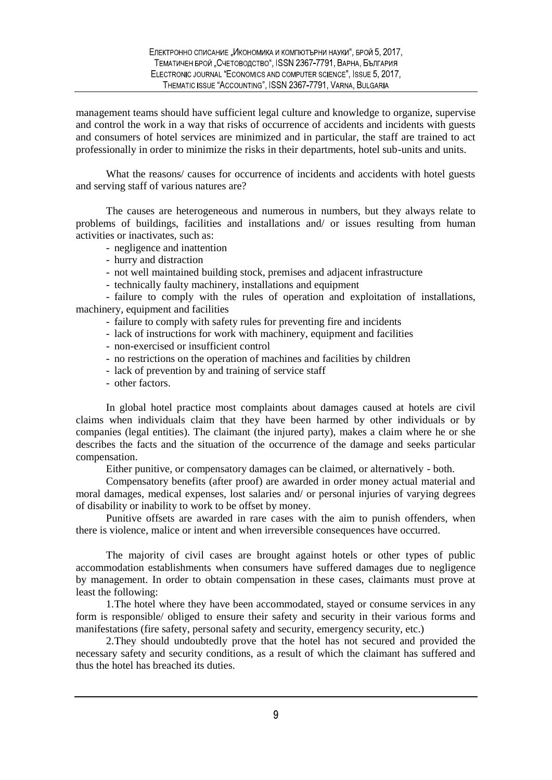management teams should have sufficient legal culture and knowledge to organize, supervise and control the work in a way that risks of occurrence of accidents and incidents with guests and consumers of hotel services are minimized and in particular, the staff are trained to act professionally in order to minimize the risks in their departments, hotel sub-units and units.

What the reasons/ causes for occurrence of incidents and accidents with hotel guests and serving staff of various natures are?

The causes are heterogeneous and numerous in numbers, but they always relate to problems of buildings, facilities and installations and/ or issues resulting from human activities or inactivates, such as:

- negligence and inattention
- hurry and distraction
- not well maintained building stock, premises and adjacent infrastructure
- technically faulty machinery, installations and equipment

- failure to comply with the rules of operation and exploitation of installations, machinery, equipment and facilities

- failure to comply with safety rules for preventing fire and incidents
- lack of instructions for work with machinery, equipment and facilities
- non-exercised or insufficient control
- no restrictions on the operation of machines and facilities by children
- lack of prevention by and training of service staff
- other factors.

In global hotel practice most complaints about damages caused at hotels are civil claims when individuals claim that they have been harmed by other individuals or by companies (legal entities). The claimant (the injured party), makes a claim where he or she describes the facts and the situation of the occurrence of the damage and seeks particular compensation.

Either punitive, or compensatory damages can be claimed, or alternatively - both.

Compensatory benefits (after proof) are awarded in order money actual material and moral damages, medical expenses, lost salaries and/ or personal injuries of varying degrees of disability or inability to work to be offset by money.

Punitive offsets are awarded in rare cases with the aim to punish offenders, when there is violence, malice or intent and when irreversible consequences have occurred.

The majority of civil cases are brought against hotels or other types of public accommodation establishments when consumers have suffered damages due to negligence by management. In order to obtain compensation in these cases, claimants must prove at least the following:

1.The hotel where they have been accommodated, stayed or consume services in any form is responsible/ obliged to ensure their safety and security in their various forms and manifestations (fire safety, personal safety and security, emergency security, etc.)

2.They should undoubtedly prove that the hotel has not secured and provided the necessary safety and security conditions, as a result of which the claimant has suffered and thus the hotel has breached its duties.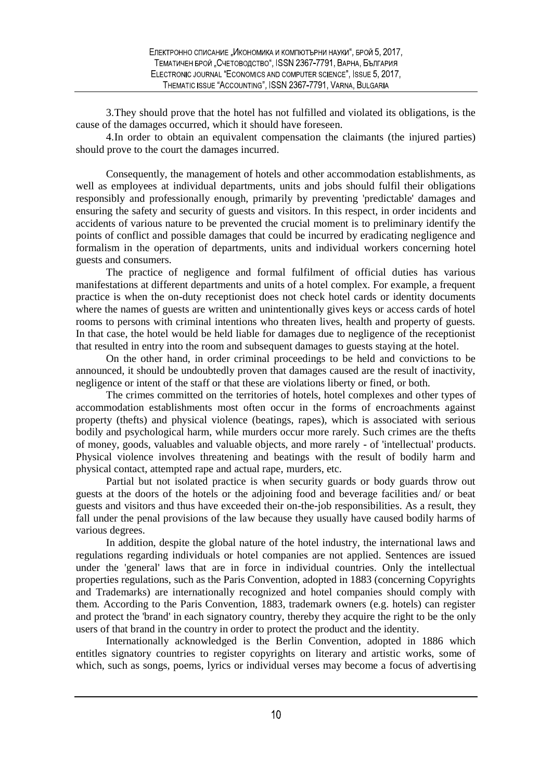3.They should prove that the hotel has not fulfilled and violated its obligations, is the cause of the damages occurred, which it should have foreseen.

4.In order to obtain an equivalent compensation the claimants (the injured parties) should prove to the court the damages incurred.

Consequently, the management of hotels and other accommodation establishments, as well as employees at individual departments, units and jobs should fulfil their obligations responsibly and professionally enough, primarily by preventing 'predictable' damages and ensuring the safety and security of guests and visitors. In this respect, in order incidents and accidents of various nature to be prevented the crucial moment is to preliminary identify the points of conflict and possible damages that could be incurred by eradicating negligence and formalism in the operation of departments, units and individual workers concerning hotel guests and consumers.

The practice of negligence and formal fulfilment of official duties has various manifestations at different departments and units of a hotel complex. For example, a frequent practice is when the on-duty receptionist does not check hotel cards or identity documents where the names of guests are written and unintentionally gives keys or access cards of hotel rooms to persons with criminal intentions who threaten lives, health and property of guests. In that case, the hotel would be held liable for damages due to negligence of the receptionist that resulted in entry into the room and subsequent damages to guests staying at the hotel.

On the other hand, in order criminal proceedings to be held and convictions to be announced, it should be undoubtedly proven that damages caused are the result of inactivity, negligence or intent of the staff or that these are violations liberty or fined, or both.

The crimes committed on the territories of hotels, hotel complexes and other types of accommodation establishments most often occur in the forms of encroachments against property (thefts) and physical violence (beatings, rapes), which is associated with serious bodily and psychological harm, while murders occur more rarely. Such crimes are the thefts of money, goods, valuables and valuable objects, and more rarely - of 'intellectual' products. Physical violence involves threatening and beatings with the result of bodily harm and physical contact, attempted rape and actual rape, murders, etc.

Partial but not isolated practice is when security guards or body guards throw out guests at the doors of the hotels or the adjoining food and beverage facilities and/ or beat guests and visitors and thus have exceeded their on-the-job responsibilities. As a result, they fall under the penal provisions of the law because they usually have caused bodily harms of various degrees.

In addition, despite the global nature of the hotel industry, the international laws and regulations regarding individuals or hotel companies are not applied. Sentences are issued under the 'general' laws that are in force in individual countries. Only the intellectual properties regulations, such as the Paris Convention, adopted in 1883 (concerning Copyrights and Trademarks) are internationally recognized and hotel companies should comply with them. According to the Paris Convention, 1883, trademark owners (e.g. hotels) can register and protect the 'brand' in each signatory country, thereby they acquire the right to be the only users of that brand in the country in order to protect the product and the identity.

Internationally acknowledged is the Berlin Convention, adopted in 1886 which entitles signatory countries to register copyrights on literary and artistic works, some of which, such as songs, poems, lyrics or individual verses may become a focus of advertising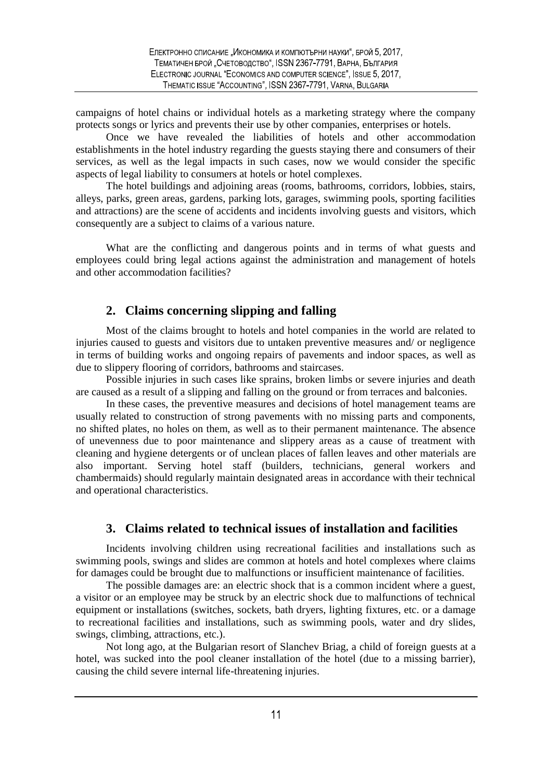campaigns of hotel chains or individual hotels as a marketing strategy where the company protects songs or lyrics and prevents their use by other companies, enterprises or hotels.

Once we have revealed the liabilities of hotels and other accommodation establishments in the hotel industry regarding the guests staying there and consumers of their services, as well as the legal impacts in such cases, now we would consider the specific aspects of legal liability to consumers at hotels or hotel complexes.

The hotel buildings and adjoining areas (rooms, bathrooms, corridors, lobbies, stairs, alleys, parks, green areas, gardens, parking lots, garages, swimming pools, sporting facilities and attractions) are the scene of accidents and incidents involving guests and visitors, which consequently are a subject to claims of a various nature.

What are the conflicting and dangerous points and in terms of what guests and employees could bring legal actions against the administration and management of hotels and other accommodation facilities?

# **2. Claims concerning slipping and falling**

Most of the claims brought to hotels and hotel companies in the world are related to injuries caused to guests and visitors due to untaken preventive measures and/ or negligence in terms of building works and ongoing repairs of pavements and indoor spaces, as well as due to slippery flooring of corridors, bathrooms and staircases.

Possible injuries in such cases like sprains, broken limbs or severe injuries and death are caused as a result of a slipping and falling on the ground or from terraces and balconies.

In these cases, the preventive measures and decisions of hotel management teams are usually related to construction of strong pavements with no missing parts and components, no shifted plates, no holes on them, as well as to their permanent maintenance. The absence of unevenness due to poor maintenance and slippery areas as a cause of treatment with cleaning and hygiene detergents or of unclean places of fallen leaves and other materials are also important. Serving hotel staff (builders, technicians, general workers and chambermaids) should regularly maintain designated areas in accordance with their technical and operational characteristics.

## **3. Claims related to technical issues of installation and facilities**

Incidents involving children using recreational facilities and installations such as swimming pools, swings and slides are common at hotels and hotel complexes where claims for damages could be brought due to malfunctions or insufficient maintenance of facilities.

The possible damages are: an electric shock that is a common incident where a guest, a visitor or an employee may be struck by an electric shock due to malfunctions of technical equipment or installations (switches, sockets, bath dryers, lighting fixtures, etc. or a damage to recreational facilities and installations, such as swimming pools, water and dry slides, swings, climbing, attractions, etc.).

Not long ago, at the Bulgarian resort of Slanchev Briag, a child of foreign guests at a hotel, was sucked into the pool cleaner installation of the hotel (due to a missing barrier), causing the child severe internal life-threatening injuries.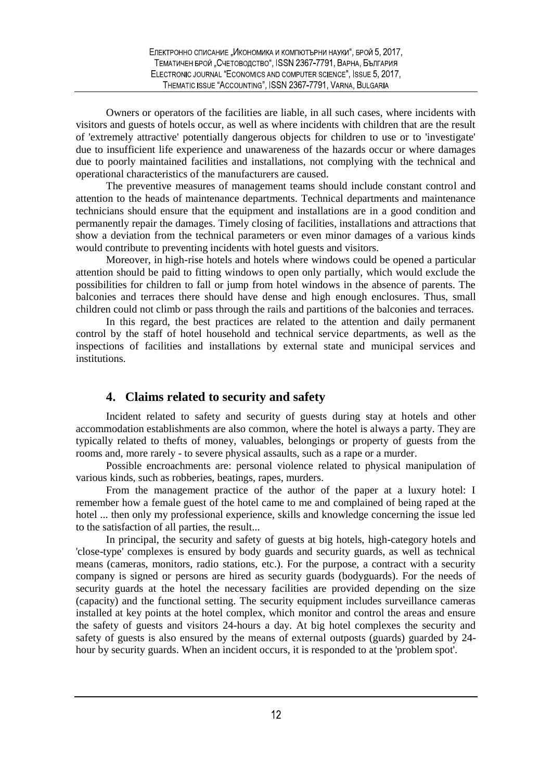Owners or operators of the facilities are liable, in all such cases, where incidents with visitors and guests of hotels occur, as well as where incidents with children that are the result of 'extremely attractive' potentially dangerous objects for children to use or to 'investigate' due to insufficient life experience and unawareness of the hazards occur or where damages due to poorly maintained facilities and installations, not complying with the technical and operational characteristics of the manufacturers are caused.

The preventive measures of management teams should include constant control and attention to the heads of maintenance departments. Technical departments and maintenance technicians should ensure that the equipment and installations are in a good condition and permanently repair the damages. Timely closing of facilities, installations and attractions that show a deviation from the technical parameters or even minor damages of a various kinds would contribute to preventing incidents with hotel guests and visitors.

Moreover, in high-rise hotels and hotels where windows could be opened a particular attention should be paid to fitting windows to open only partially, which would exclude the possibilities for children to fall or jump from hotel windows in the absence of parents. The balconies and terraces there should have dense and high enough enclosures. Thus, small children could not climb or pass through the rails and partitions of the balconies and terraces.

In this regard, the best practices are related to the attention and daily permanent control by the staff of hotel household and technical service departments, as well as the inspections of facilities and installations by external state and municipal services and institutions.

# **4. Claims related to security and safety**

Incident related to safety and security of guests during stay at hotels and other accommodation establishments are also common, where the hotel is always a party. They are typically related to thefts of money, valuables, belongings or property of guests from the rooms and, more rarely - to severe physical assaults, such as a rape or a murder.

Possible encroachments are: personal violence related to physical manipulation of various kinds, such as robberies, beatings, rapes, murders.

From the management practice of the author of the paper at a luxury hotel: I remember how a female guest of the hotel came to me and complained of being raped at the hotel ... then only my professional experience, skills and knowledge concerning the issue led to the satisfaction of all parties, the result...

In principal, the security and safety of guests at big hotels, high-category hotels and 'close-type' complexes is ensured by body guards and security guards, as well as technical means (cameras, monitors, radio stations, etc.). For the purpose, a contract with a security company is signed or persons are hired as security guards (bodyguards). For the needs of security guards at the hotel the necessary facilities are provided depending on the size (capacity) and the functional setting. The security equipment includes surveillance cameras installed at key points at the hotel complex, which monitor and control the areas and ensure the safety of guests and visitors 24-hours a day. At big hotel complexes the security and safety of guests is also ensured by the means of external outposts (guards) guarded by 24 hour by security guards. When an incident occurs, it is responded to at the 'problem spot'.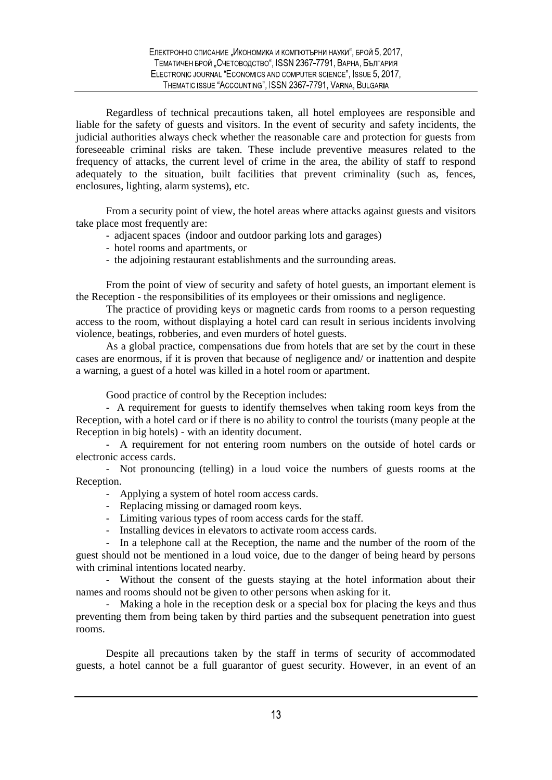Regardless of technical precautions taken, all hotel employees are responsible and liable for the safety of guests and visitors. In the event of security and safety incidents, the judicial authorities always check whether the reasonable care and protection for guests from foreseeable criminal risks are taken. These include preventive measures related to the frequency of attacks, the current level of crime in the area, the ability of staff to respond adequately to the situation, built facilities that prevent criminality (such as, fences, enclosures, lighting, alarm systems), etc.

From a security point of view, the hotel areas where attacks against guests and visitors take place most frequently are:

- adjacent spaces (indoor and outdoor parking lots and garages)
- hotel rooms and apartments, or
- the adjoining restaurant establishments and the surrounding areas.

From the point of view of security and safety of hotel guests, an important element is the Reception - the responsibilities of its employees or their omissions and negligence.

The practice of providing keys or magnetic cards from rooms to a person requesting access to the room, without displaying a hotel card can result in serious incidents involving violence, beatings, robberies, and even murders of hotel guests.

As a global practice, compensations due from hotels that are set by the court in these cases are enormous, if it is proven that because of negligence and/ or inattention and despite a warning, a guest of a hotel was killed in a hotel room or apartment.

Good practice of control by the Reception includes:

- A requirement for guests to identify themselves when taking room keys from the Reception, with a hotel card or if there is no ability to control the tourists (many people at the Reception in big hotels) - with an identity document.

- A requirement for not entering room numbers on the outside of hotel cards or electronic access cards.

- Not pronouncing (telling) in a loud voice the numbers of guests rooms at the Reception.

- Applying a system of hotel room access cards.
- Replacing missing or damaged room keys.
- Limiting various types of room access cards for the staff.
- Installing devices in elevators to activate room access cards.

- In a telephone call at the Reception, the name and the number of the room of the guest should not be mentioned in a loud voice, due to the danger of being heard by persons with criminal intentions located nearby.

- Without the consent of the guests staying at the hotel information about their names and rooms should not be given to other persons when asking for it.

- Making a hole in the reception desk or a special box for placing the keys and thus preventing them from being taken by third parties and the subsequent penetration into guest rooms.

Despite all precautions taken by the staff in terms of security of accommodated guests, a hotel cannot be a full guarantor of guest security. However, in an event of an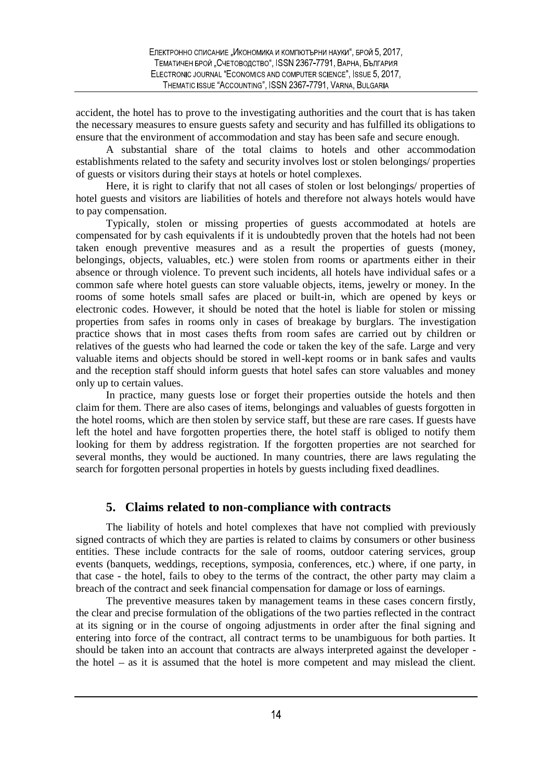accident, the hotel has to prove to the investigating authorities and the court that is has taken the necessary measures to ensure guests safety and security and has fulfilled its obligations to ensure that the environment of accommodation and stay has been safe and secure enough.

A substantial share of the total claims to hotels and other accommodation establishments related to the safety and security involves lost or stolen belongings/ properties of guests or visitors during their stays at hotels or hotel complexes.

Here, it is right to clarify that not all cases of stolen or lost belongings/ properties of hotel guests and visitors are liabilities of hotels and therefore not always hotels would have to pay compensation.

Typically, stolen or missing properties of guests accommodated at hotels are compensated for by cash equivalents if it is undoubtedly proven that the hotels had not been taken enough preventive measures and as a result the properties of guests (money, belongings, objects, valuables, etc.) were stolen from rooms or apartments either in their absence or through violence. To prevent such incidents, all hotels have individual safes or a common safe where hotel guests can store valuable objects, items, jewelry or money. In the rooms of some hotels small safes are placed or built-in, which are opened by keys or electronic codes. However, it should be noted that the hotel is liable for stolen or missing properties from safes in rooms only in cases of breakage by burglars. The investigation practice shows that in most cases thefts from room safes are carried out by children or relatives of the guests who had learned the code or taken the key of the safe. Large and very valuable items and objects should be stored in well-kept rooms or in bank safes and vaults and the reception staff should inform guests that hotel safes can store valuables and money only up to certain values.

In practice, many guests lose or forget their properties outside the hotels and then claim for them. There are also cases of items, belongings and valuables of guests forgotten in the hotel rooms, which are then stolen by service staff, but these are rare cases. If guests have left the hotel and have forgotten properties there, the hotel staff is obliged to notify them looking for them by address registration. If the forgotten properties are not searched for several months, they would be auctioned. In many countries, there are laws regulating the search for forgotten personal properties in hotels by guests including fixed deadlines.

#### **5. Claims related to non-compliance with contracts**

The liability of hotels and hotel complexes that have not complied with previously signed contracts of which they are parties is related to claims by consumers or other business entities. These include contracts for the sale of rooms, outdoor catering services, group events (banquets, weddings, receptions, symposia, conferences, etc.) where, if one party, in that case - the hotel, fails to obey to the terms of the contract, the other party may claim a breach of the contract and seek financial compensation for damage or loss of earnings.

The preventive measures taken by management teams in these cases concern firstly, the clear and precise formulation of the obligations of the two parties reflected in the contract at its signing or in the course of ongoing adjustments in order after the final signing and entering into force of the contract, all contract terms to be unambiguous for both parties. It should be taken into an account that contracts are always interpreted against the developer the hotel as it is assumed that the hotel is more competent and may mislead the client.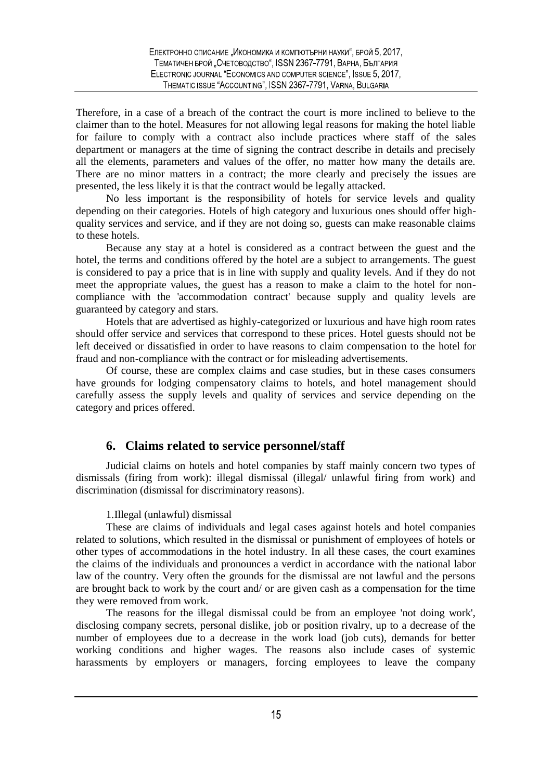Therefore, in a case of a breach of the contract the court is more inclined to believe to the claimer than to the hotel. Measures for not allowing legal reasons for making the hotel liable for failure to comply with a contract also include practices where staff of the sales department or managers at the time of signing the contract describe in details and precisely all the elements, parameters and values of the offer, no matter how many the details are. There are no minor matters in a contract; the more clearly and precisely the issues are presented, the less likely it is that the contract would be legally attacked.

No less important is the responsibility of hotels for service levels and quality depending on their categories. Hotels of high category and luxurious ones should offer high quality services and service, and if they are not doing so, guests can make reasonable claims to these hotels.

Because any stay at a hotel is considered as a contract between the guest and the hotel, the terms and conditions offered by the hotel are a subject to arrangements. The guest is considered to pay a price that is in line with supply and quality levels. And if they do not meet the appropriate values, the guest has a reason to make a claim to the hotel for non compliance with the 'accommodation contract' because supply and quality levels are guaranteed by category and stars.

Hotels that are advertised as highly-categorized or luxurious and have high room rates should offer service and services that correspond to these prices. Hotel guests should not be left deceived or dissatisfied in order to have reasons to claim compensation to the hotel for fraud and non-compliance with the contract or for misleading advertisements.

Of course, these are complex claims and case studies, but in these cases consumers have grounds for lodging compensatory claims to hotels, and hotel management should carefully assess the supply levels and quality of services and service depending on the category and prices offered.

## **6. Claims related to service personnel/staff**

Judicial claims on hotels and hotel companies by staff mainly concern two types of dismissals (firing from work): illegal dismissal (illegal/ unlawful firing from work) and discrimination (dismissal for discriminatory reasons).

#### 1.Illegal (unlawful) dismissal

These are claims of individuals and legal cases against hotels and hotel companies related to solutions, which resulted in the dismissal or punishment of employees of hotels or other types of accommodations in the hotel industry. In all these cases, the court examines the claims of the individuals and pronounces a verdict in accordance with the national labor law of the country. Very often the grounds for the dismissal are not lawful and the persons are brought back to work by the court and/ or are given cash as a compensation for the time they were removed from work.

The reasons for the illegal dismissal could be from an employee 'not doing work', disclosing company secrets, personal dislike, job or position rivalry, up to a decrease of the number of employees due to a decrease in the work load (job cuts), demands for better working conditions and higher wages. The reasons also include cases of systemic harassments by employers or managers, forcing employees to leave the company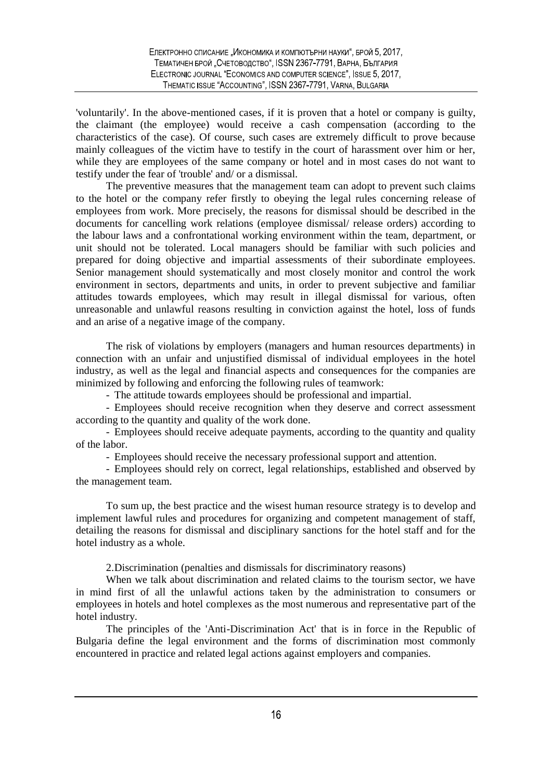'voluntarily'. In the above-mentioned cases, if it is proven that a hotel or company is guilty, the claimant (the employee) would receive a cash compensation (according to the characteristics of the case). Of course, such cases are extremely difficult to prove because mainly colleagues of the victim have to testify in the court of harassment over him or her, while they are employees of the same company or hotel and in most cases do not want to testify under the fear of 'trouble' and/ or a dismissal.

The preventive measures that the management team can adopt to prevent such claims to the hotel or the company refer firstly to obeying the legal rules concerning release of employees from work. More precisely, the reasons for dismissal should be described in the documents for cancelling work relations (employee dismissal/ release orders) according to the labour laws and a confrontational working environment within the team, department, or unit should not be tolerated. Local managers should be familiar with such policies and prepared for doing objective and impartial assessments of their subordinate employees. Senior management should systematically and most closely monitor and control the work environment in sectors, departments and units, in order to prevent subjective and familiar attitudes towards employees, which may result in illegal dismissal for various, often unreasonable and unlawful reasons resulting in conviction against the hotel, loss of funds and an arise of a negative image of the company.

The risk of violations by employers (managers and human resources departments) in connection with an unfair and unjustified dismissal of individual employees in the hotel industry, as well as the legal and financial aspects and consequences for the companies are minimized by following and enforcing the following rules of teamwork:

- The attitude towards employees should be professional and impartial.

- Employees should receive recognition when they deserve and correct assessment according to the quantity and quality of the work done.

- Employees should receive adequate payments, according to the quantity and quality of the labor.

- Employees should receive the necessary professional support and attention.

- Employees should rely on correct, legal relationships, established and observed by the management team.

To sum up, the best practice and the wisest human resource strategy is to develop and implement lawful rules and procedures for organizing and competent management of staff, detailing the reasons for dismissal and disciplinary sanctions for the hotel staff and for the hotel industry as a whole.

2.Discrimination (penalties and dismissals for discriminatory reasons)

When we talk about discrimination and related claims to the tourism sector, we have in mind first of all the unlawful actions taken by the administration to consumers or employees in hotels and hotel complexes as the most numerous and representative part of the hotel industry.

The principles of the 'Anti-Discrimination Act' that is in force in the Republic of Bulgaria define the legal environment and the forms of discrimination most commonly encountered in practice and related legal actions against employers and companies.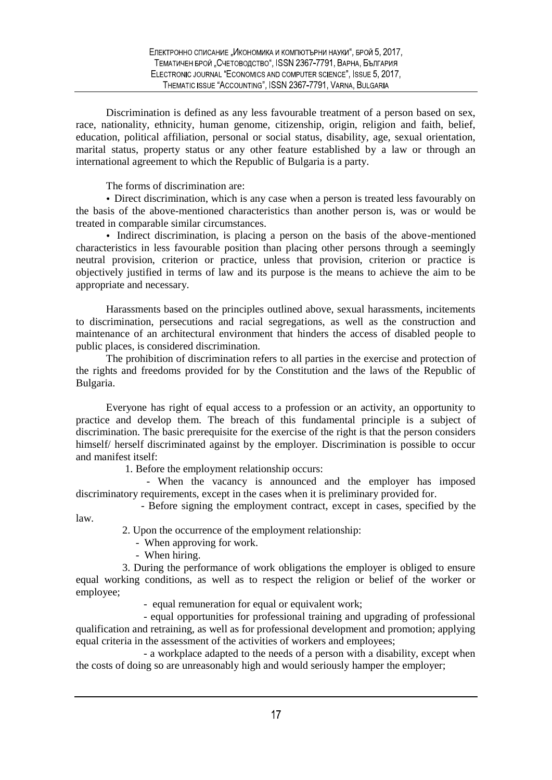Discrimination is defined as any less favourable treatment of a person based on sex, race, nationality, ethnicity, human genome, citizenship, origin, religion and faith, belief, education, political affiliation, personal or social status, disability, age, sexual orientation, marital status, property status or any other feature established by a law or through an international agreement to which the Republic of Bulgaria is a party.

The forms of discrimination are:

Direct discrimination, which is any case when a person is treated less favourably on the basis of the above-mentioned characteristics than another person is, was or would be treated in comparable similar circumstances.

Indirect discrimination, is placing a person on the basis of the above-mentioned characteristics in less favourable position than placing other persons through a seemingly neutral provision, criterion or practice, unless that provision, criterion or practice is objectively justified in terms of law and its purpose is the means to achieve the aim to be appropriate and necessary.

Harassments based on the principles outlined above, sexual harassments, incitements to discrimination, persecutions and racial segregations, as well as the construction and maintenance of an architectural environment that hinders the access of disabled people to public places, is considered discrimination.

The prohibition of discrimination refers to all parties in the exercise and protection of the rights and freedoms provided for by the Constitution and the laws of the Republic of Bulgaria.

Everyone has right of equal access to a profession or an activity, an opportunity to practice and develop them. The breach of this fundamental principle is a subject of discrimination. The basic prerequisite for the exercise of the right is that the person considers himself/ herself discriminated against by the employer. Discrimination is possible to occur and manifest itself:

1. Before the employment relationship occurs:

- When the vacancy is announced and the employer has imposed discriminatory requirements, except in the cases when it is preliminary provided for.

- Before signing the employment contract, except in cases, specified by the

2. Upon the occurrence of the employment relationship:

- When approving for work.

- When hiring.

law.

3. During the performance of work obligations the employer is obliged to ensure equal working conditions, as well as to respect the religion or belief of the worker or employee;

- equal remuneration for equal or equivalent work;

- equal opportunities for professional training and upgrading of professional qualification and retraining, as well as for professional development and promotion; applying equal criteria in the assessment of the activities of workers and employees;

- a workplace adapted to the needs of a person with a disability, except when the costs of doing so are unreasonably high and would seriously hamper the employer;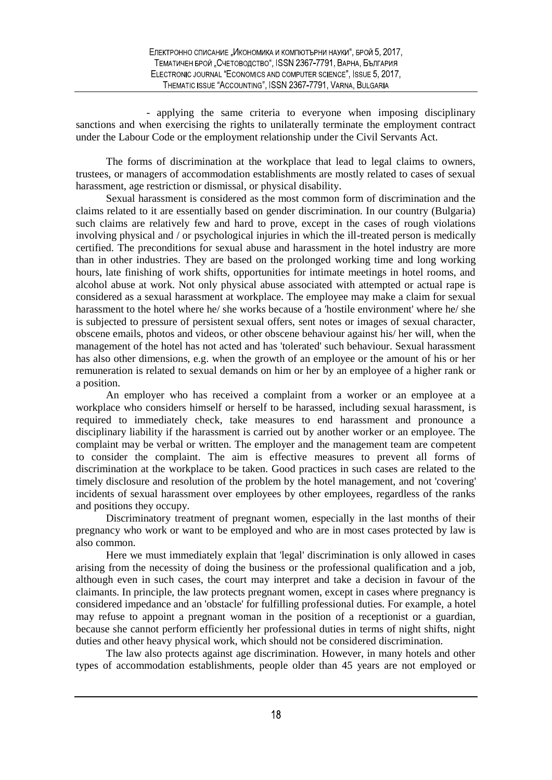- applying the same criteria to everyone when imposing disciplinary sanctions and when exercising the rights to unilaterally terminate the employment contract under the Labour Code or the employment relationship under the Civil Servants Act.

The forms of discrimination at the workplace that lead to legal claims to owners, trustees, or managers of accommodation establishments are mostly related to cases of sexual harassment, age restriction or dismissal, or physical disability.

Sexual harassment is considered as the most common form of discrimination and the claims related to it are essentially based on gender discrimination. In our country (Bulgaria) such claims are relatively few and hard to prove, except in the cases of rough violations involving physical and / or psychological injuries in which the ill-treated person is medically certified. The preconditions for sexual abuse and harassment in the hotel industry are more than in other industries. They are based on the prolonged working time and long working hours, late finishing of work shifts, opportunities for intimate meetings in hotel rooms, and alcohol abuse at work. Not only physical abuse associated with attempted or actual rape is considered as a sexual harassment at workplace. The employee may make a claim for sexual harassment to the hotel where he/ she works because of a 'hostile environment' where he/ she is subjected to pressure of persistent sexual offers, sent notes or images of sexual character, obscene emails, photos and videos, or other obscene behaviour against his/ her will, when the management of the hotel has not acted and has 'tolerated' such behaviour. Sexual harassment has also other dimensions, e.g. when the growth of an employee or the amount of his or her remuneration is related to sexual demands on him or her by an employee of a higher rank or a position.

An employer who has received a complaint from a worker or an employee at a workplace who considers himself or herself to be harassed, including sexual harassment, is required to immediately check, take measures to end harassment and pronounce a disciplinary liability if the harassment is carried out by another worker or an employee. The complaint may be verbal or written. The employer and the management team are competent to consider the complaint. The aim is effective measures to prevent all forms of discrimination at the workplace to be taken. Good practices in such cases are related to the timely disclosure and resolution of the problem by the hotel management, and not 'covering' incidents of sexual harassment over employees by other employees, regardless of the ranks and positions they occupy.

Discriminatory treatment of pregnant women, especially in the last months of their pregnancy who work or want to be employed and who are in most cases protected by law is also common.

Here we must immediately explain that 'legal' discrimination is only allowed in cases arising from the necessity of doing the business or the professional qualification and a job, although even in such cases, the court may interpret and take a decision in favour of the claimants. In principle, the law protects pregnant women, except in cases where pregnancy is considered impedance and an 'obstacle' for fulfilling professional duties. For example, a hotel may refuse to appoint a pregnant woman in the position of a receptionist or a guardian, because she cannot perform efficiently her professional duties in terms of night shifts, night duties and other heavy physical work, which should not be considered discrimination.

The law also protects against age discrimination. However, in many hotels and other types of accommodation establishments, people older than 45 years are not employed or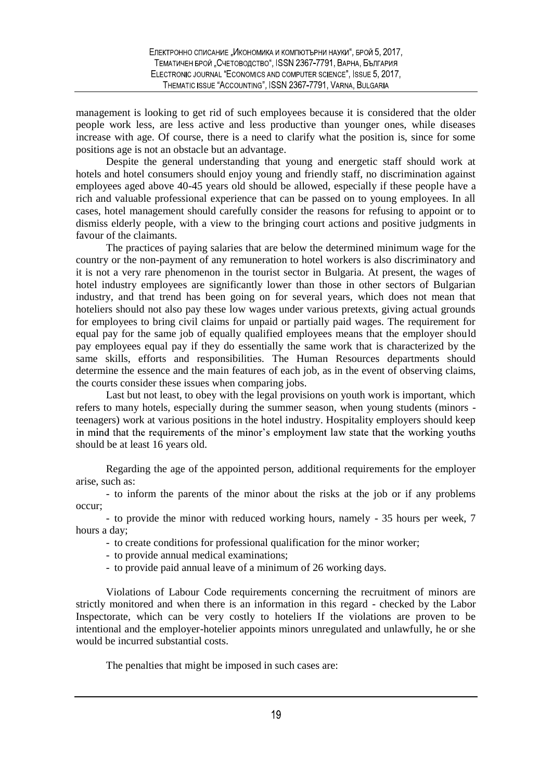management is looking to get rid of such employees because it is considered that the older people work less, are less active and less productive than younger ones, while diseases increase with age. Of course, there is a need to clarify what the position is, since for some positions age is not an obstacle but an advantage.

Despite the general understanding that young and energetic staff should work at hotels and hotel consumers should enjoy young and friendly staff, no discrimination against employees aged above 40-45 years old should be allowed, especially if these people have a rich and valuable professional experience that can be passed on to young employees. In all cases, hotel management should carefully consider the reasons for refusing to appoint or to dismiss elderly people, with a view to the bringing court actions and positive judgments in favour of the claimants.

The practices of paying salaries that are below the determined minimum wage for the country or the non-payment of any remuneration to hotel workers is also discriminatory and it is not a very rare phenomenon in the tourist sector in Bulgaria. At present, the wages of hotel industry employees are significantly lower than those in other sectors of Bulgarian industry, and that trend has been going on for several years, which does not mean that hoteliers should not also pay these low wages under various pretexts, giving actual grounds for employees to bring civil claims for unpaid or partially paid wages. The requirement for equal pay for the same job of equally qualified employees means that the employer should pay employees equal pay if they do essentially the same work that is characterized by the same skills, efforts and responsibilities. The Human Resources departments should determine the essence and the main features of each job, as in the event of observing claims, the courts consider these issues when comparing jobs.

Last but not least, to obey with the legal provisions on youth work is important, which refers to many hotels, especially during the summer season, when young students (minors teenagers) work at various positions in the hotel industry. Hospitality employers should keep in mind that the requirements of the minor's employment law state that the working youths should be at least 16 years old.

Regarding the age of the appointed person, additional requirements for the employer arise, such as:

- to inform the parents of the minor about the risks at the job or if any problems occur;

- to provide the minor with reduced working hours, namely - 35 hours per week, 7 hours a day;

- to create conditions for professional qualification for the minor worker;

- to provide annual medical examinations;
- to provide paid annual leave of a minimum of 26 working days.

Violations of Labour Code requirements concerning the recruitment of minors are strictly monitored and when there is an information in this regard - checked by the Labor Inspectorate, which can be very costly to hoteliers If the violations are proven to be intentional and the employer-hotelier appoints minors unregulated and unlawfully, he or she would be incurred substantial costs.

The penalties that might be imposed in such cases are: